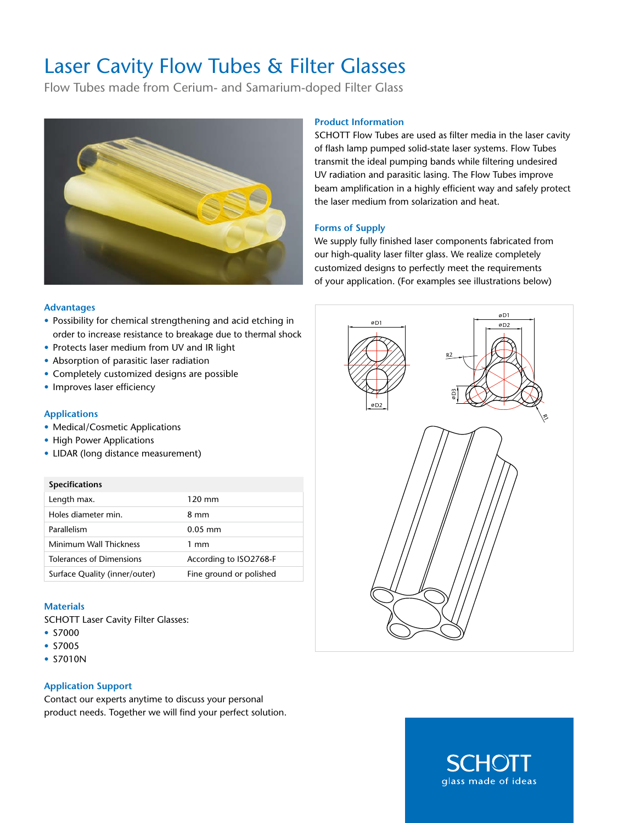# Laser Cavity Flow Tubes & Filter Glasses

Flow Tubes made from Cerium- and Samarium-doped Filter Glass



# **Product Information**

SCHOTT Flow Tubes are used as filter media in the laser cavity of flash lamp pumped solid-state laser systems. Flow Tubes transmit the ideal pumping bands while filtering undesired UV radiation and parasitic lasing. The Flow Tubes improve beam amplification in a highly efficient way and safely protect the laser medium from solarization and heat.

# **Forms of Supply**

We supply fully finished laser components fabricated from our high-quality laser filter glass. We realize completely customized designs to perfectly meet the requirements of your application. (For examples see illustrations below)

# **Advantages**

- Possibility for chemical strengthening and acid etching in order to increase resistance to breakage due to thermal shock
- Protects laser medium from UV and IR light
- Absorption of parasitic laser radiation
- Completely customized designs are possible
- Improves laser efficiency

#### **Applications**

- Medical/Cosmetic Applications
- High Power Applications
- LIDAR (long distance measurement)

#### **Specifications**

| Length max.                   | $120 \text{ mm}$        |
|-------------------------------|-------------------------|
| Holes diameter min.           | 8 mm                    |
| Parallelism                   | $0.05$ mm               |
| Minimum Wall Thickness        | $1 \text{ mm}$          |
| Tolerances of Dimensions      | According to ISO2768-F  |
| Surface Quality (inner/outer) | Fine ground or polished |

### **Materials**

SCHOTT Laser Cavity Filter Glasses:

- S7000
- S7005
- S7010N

### **Application Support**

Contact our experts anytime to discuss your personal product needs. Together we will find your perfect solution.